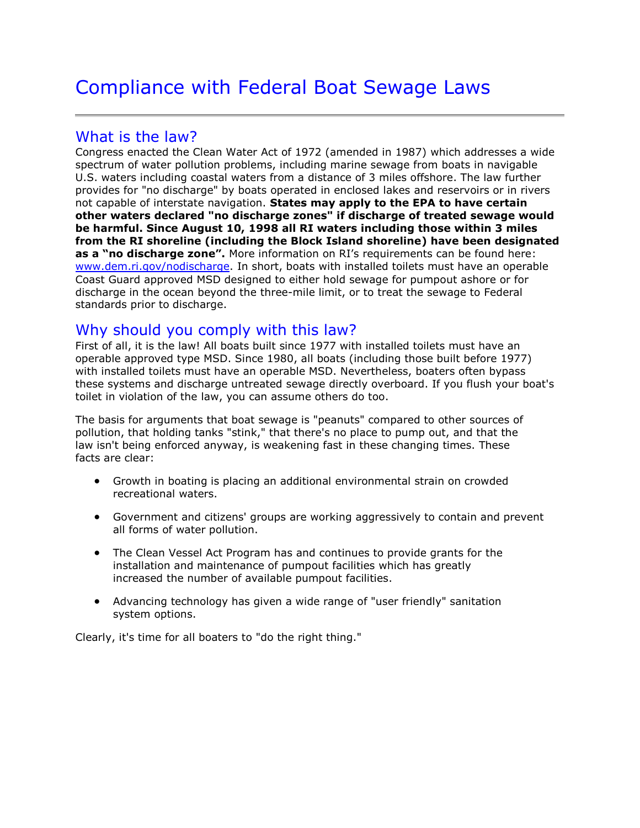# Compliance with Federal Boat Sewage Laws

## What is the law?

Congress enacted the Clean Water Act of 1972 (amended in 1987) which addresses a wide spectrum of water pollution problems, including marine sewage from boats in navigable U.S. waters including coastal waters from a distance of 3 miles offshore. The law further provides for "no discharge" by boats operated in enclosed lakes and reservoirs or in rivers not capable of interstate navigation. **States may apply to the EPA to have certain other waters declared "no discharge zones" if discharge of treated sewage would be harmful. Since August 10, 1998 all RI waters including those within 3 miles from the RI shoreline (including the Block Island shoreline) have been designated as a "no discharge zone".** More information on RI's requirements can be found here: [www.dem.ri.gov/nodischarge.](http://www.dem.ri.gov/nodischarge) In short, boats with installed toilets must have an operable Coast Guard approved MSD designed to either hold sewage for pumpout ashore or for discharge in the ocean beyond the three-mile limit, or to treat the sewage to Federal standards prior to discharge.

### Why should you comply with this law?

First of all, it is the law! All boats built since 1977 with installed toilets must have an operable approved type MSD. Since 1980, all boats (including those built before 1977) with installed toilets must have an operable MSD. Nevertheless, boaters often bypass these systems and discharge untreated sewage directly overboard. If you flush your boat's toilet in violation of the law, you can assume others do too.

The basis for arguments that boat sewage is "peanuts" compared to other sources of pollution, that holding tanks "stink," that there's no place to pump out, and that the law isn't being enforced anyway, is weakening fast in these changing times. These facts are clear:

- Growth in boating is placing an additional environmental strain on crowded recreational waters.
- Government and citizens' groups are working aggressively to contain and prevent all forms of water pollution.
- The Clean Vessel Act Program has and continues to provide grants for the installation and maintenance of pumpout facilities which has greatly increased the number of available pumpout facilities.
- Advancing technology has given a wide range of "user friendly" sanitation system options.

Clearly, it's time for all boaters to "do the right thing."